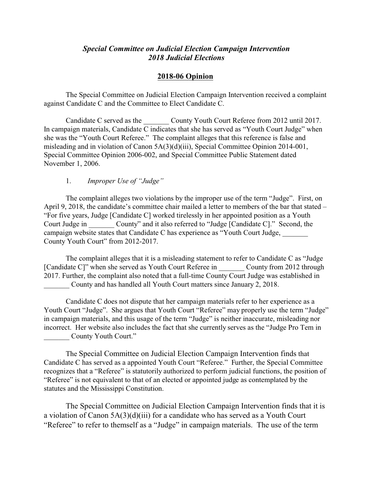# *Special Committee on Judicial Election Campaign Intervention 2018 Judicial Elections*

## **2018-06 Opinion**

The Special Committee on Judicial Election Campaign Intervention received a complaint against Candidate C and the Committee to Elect Candidate C.

Candidate C served as the County Youth Court Referee from 2012 until 2017. In campaign materials, Candidate C indicates that she has served as "Youth Court Judge" when she was the "Youth Court Referee." The complaint alleges that this reference is false and misleading and in violation of Canon 5A(3)(d)(iii), Special Committee Opinion 2014-001, Special Committee Opinion 2006-002, and Special Committee Public Statement dated November 1, 2006.

#### 1. *Improper Use of "Judge"*

The complaint alleges two violations by the improper use of the term "Judge". First, on April 9, 2018, the candidate's committee chair mailed a letter to members of the bar that stated – "For five years, Judge [Candidate C] worked tirelessly in her appointed position as a Youth Court Judge in County" and it also referred to "Judge [Candidate C]." Second, the campaign website states that Candidate C has experience as "Youth Court Judge, County Youth Court" from 2012-2017.

The complaint alleges that it is a misleading statement to refer to Candidate C as "Judge [Candidate C]" when she served as Youth Court Referee in County from 2012 through 2017. Further, the complaint also noted that a full-time County Court Judge was established in \_\_\_\_\_\_\_ County and has handled all Youth Court matters since January 2, 2018.

Candidate C does not dispute that her campaign materials refer to her experience as a Youth Court "Judge". She argues that Youth Court "Referee" may properly use the term "Judge" in campaign materials, and this usage of the term "Judge" is neither inaccurate, misleading nor incorrect. Her website also includes the fact that she currently serves as the "Judge Pro Tem in County Youth Court."

The Special Committee on Judicial Election Campaign Intervention finds that Candidate C has served as a appointed Youth Court "Referee." Further, the Special Committee recognizes that a "Referee" is statutorily authorized to perform judicial functions, the position of "Referee" is not equivalent to that of an elected or appointed judge as contemplated by the statutes and the Mississippi Constitution.

The Special Committee on Judicial Election Campaign Intervention finds that it is a violation of Canon 5A(3)(d)(iii) for a candidate who has served as a Youth Court "Referee" to refer to themself as a "Judge" in campaign materials. The use of the term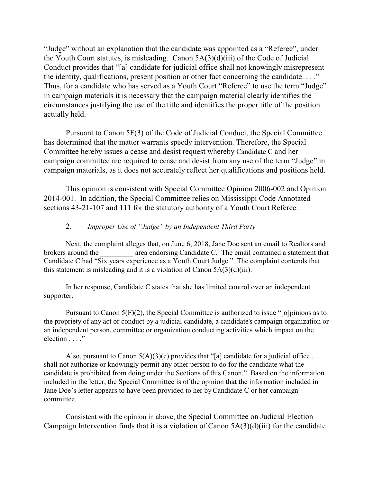"Judge" without an explanation that the candidate was appointed as a "Referee", under the Youth Court statutes, is misleading. Canon  $5A(3)(d)(iii)$  of the Code of Judicial Conduct provides that "[a] candidate for judicial office shall not knowingly misrepresent the identity, qualifications, present position or other fact concerning the candidate. . . ." Thus, for a candidate who has served as a Youth Court "Referee" to use the term "Judge" in campaign materials it is necessary that the campaign material clearly identifies the circumstances justifying the use of the title and identifies the proper title of the position actually held.

Pursuant to Canon 5F(3) of the Code of Judicial Conduct, the Special Committee has determined that the matter warrants speedy intervention. Therefore, the Special Committee hereby issues a cease and desist request whereby Candidate C and her campaign committee are required to cease and desist from any use of the term "Judge" in campaign materials, as it does not accurately reflect her qualifications and positions held.

This opinion is consistent with Special Committee Opinion 2006-002 and Opinion 2014-001. In addition, the Special Committee relies on Mississippi Code Annotated sections 43-21-107 and 111 for the statutory authority of a Youth Court Referee.

# 2. *Improper Use of "Judge" by an Independent Third Party*

Next, the complaint alleges that, on June 6, 2018, Jane Doe sent an email to Realtors and brokers around the area endorsing Candidate C. The email contained a statement that Candidate C had "Six years experience as a Youth Court Judge." The complaint contends that this statement is misleading and it is a violation of Canon 5A(3)(d)(iii).

In her response, Candidate C states that she has limited control over an independent supporter.

Pursuant to Canon 5(F)(2), the Special Committee is authorized to issue "[o]pinions as to the propriety of any act or conduct by a judicial candidate, a candidate's campaign organization or an independent person, committee or organization conducting activities which impact on the election . . . ."

Also, pursuant to Canon  $5(A)(3)(c)$  provides that "[a] candidate for a judicial office ... shall not authorize or knowingly permit any other person to do for the candidate what the candidate is prohibited from doing under the Sections of this Canon." Based on the information included in the letter, the Special Committee is of the opinion that the information included in Jane Doe's letter appears to have been provided to her by Candidate C or her campaign committee.

Consistent with the opinion in above, the Special Committee on Judicial Election Campaign Intervention finds that it is a violation of Canon 5A(3)(d)(iii) for the candidate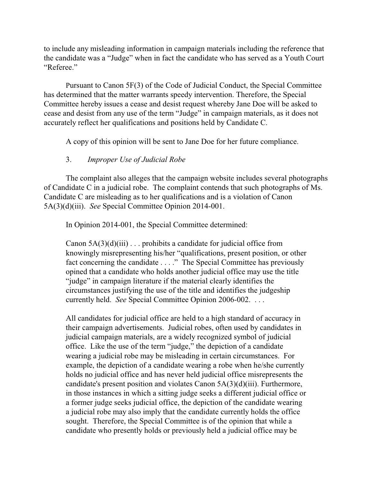to include any misleading information in campaign materials including the reference that the candidate was a "Judge" when in fact the candidate who has served as a Youth Court "Referee."

Pursuant to Canon 5F(3) of the Code of Judicial Conduct, the Special Committee has determined that the matter warrants speedy intervention. Therefore, the Special Committee hereby issues a cease and desist request whereby Jane Doe will be asked to cease and desist from any use of the term "Judge" in campaign materials, as it does not accurately reflect her qualifications and positions held by Candidate C.

A copy of this opinion will be sent to Jane Doe for her future compliance.

## 3. *Improper Use of Judicial Robe*

The complaint also alleges that the campaign website includes several photographs of Candidate C in a judicial robe. The complaint contends that such photographs of Ms. Candidate C are misleading as to her qualifications and is a violation of Canon 5A(3)(d)(iii). *See* Special Committee Opinion 2014-001.

In Opinion 2014-001, the Special Committee determined:

Canon  $5A(3)(d)(iii)$ ... prohibits a candidate for judicial office from knowingly misrepresenting his/her "qualifications, present position, or other fact concerning the candidate . . . ." The Special Committee has previously opined that a candidate who holds another judicial office may use the title "judge" in campaign literature if the material clearly identifies the circumstances justifying the use of the title and identifies the judgeship currently held. *See* Special Committee Opinion 2006-002. . . .

All candidates for judicial office are held to a high standard of accuracy in their campaign advertisements. Judicial robes, often used by candidates in judicial campaign materials, are a widely recognized symbol of judicial office. Like the use of the term "judge," the depiction of a candidate wearing a judicial robe may be misleading in certain circumstances. For example, the depiction of a candidate wearing a robe when he/she currently holds no judicial office and has never held judicial office misrepresents the candidate's present position and violates Canon 5A(3)(d)(iii). Furthermore, in those instances in which a sitting judge seeks a different judicial office or a former judge seeks judicial office, the depiction of the candidate wearing a judicial robe may also imply that the candidate currently holds the office sought. Therefore, the Special Committee is of the opinion that while a candidate who presently holds or previously held a judicial office may be